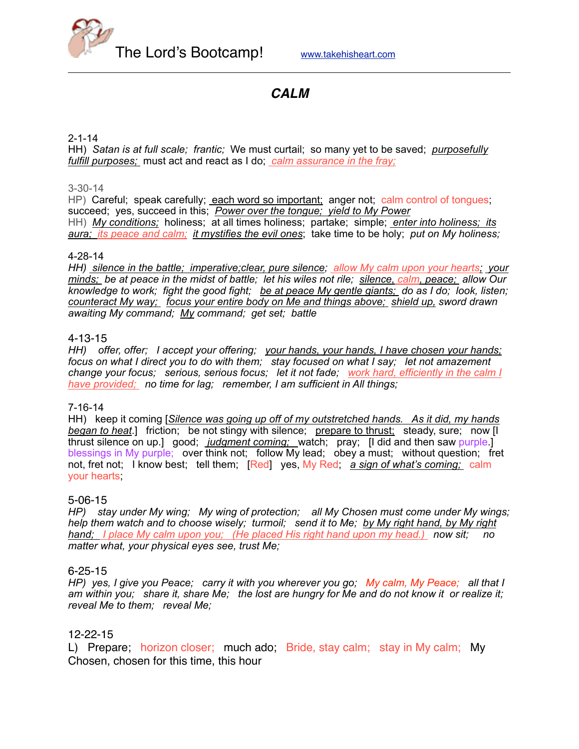

# *CALM*

#### 2-1-14

HH) *Satan is at full scale; frantic;* We must curtail; so many yet to be saved; *purposefully fulfill purposes;* must act and react as I do; *calm assurance in the fray;*

#### 3-30-14

HP) Careful; speak carefully; each word so important; anger not; calm control of tongues; succeed; yes, succeed in this; *Power over the tongue; yield to My Power* HH) *My conditions;* holiness; at all times holiness; partake; simple; *enter into holiness; its aura; its peace and calm; it mystifies the evil ones*; take time to be holy; *put on My holiness;*

#### 4-28-14

*HH) silence in the battle; imperative;clear, pure silence; allow My calm upon your hearts; your minds; be at peace in the midst of battle; let his wiles not rile; silence, calm, peace; allow Our knowledge to work; fight the good fight; be at peace My gentle giants; do as I do; look, listen; counteract My way; focus your entire body on Me and things above; shield up, sword drawn awaiting My command; My command; get set; battle*

#### 4-13-15

*HH) offer, offer; I accept your offering; your hands, your hands, I have chosen your hands; focus on what I direct you to do with them; stay focused on what I say; let not amazement change your focus; serious, serious focus; let it not fade; work hard, efficiently in the calm I have provided; no time for lag; remember, I am sufficient in All things;*

#### 7-16-14

HH) keep it coming [*Silence was going up off of my outstretched hands. As it did, my hands*  **began to heat**.] friction; be not stingy with silence; prepare to thrust; steady, sure; now [I thrust silence on up.] good; *judgment coming;* watch; pray; [I did and then saw purple.] blessings in My purple; over think not; follow My lead; obey a must; without question; fret not, fret not; I know best; tell them; [Red] yes, My Red; *a sign of what's coming;* calm your hearts;

#### 5-06-15

*HP) stay under My wing; My wing of protection; all My Chosen must come under My wings; help them watch and to choose wisely; turmoil; send it to Me; by My right hand, by My right hand; I place My calm upon you; (He placed His right hand upon my head.) now sit; no matter what, your physical eyes see, trust Me;* 

#### 6-25-15

*HP) yes, I give you Peace; carry it with you wherever you go; My calm, My Peace; all that I am within you; share it, share Me; the lost are hungry for Me and do not know it or realize it; reveal Me to them; reveal Me;*

#### 12-22-15

L) Prepare; horizon closer; much ado; Bride, stay calm; stay in My calm; My Chosen, chosen for this time, this hour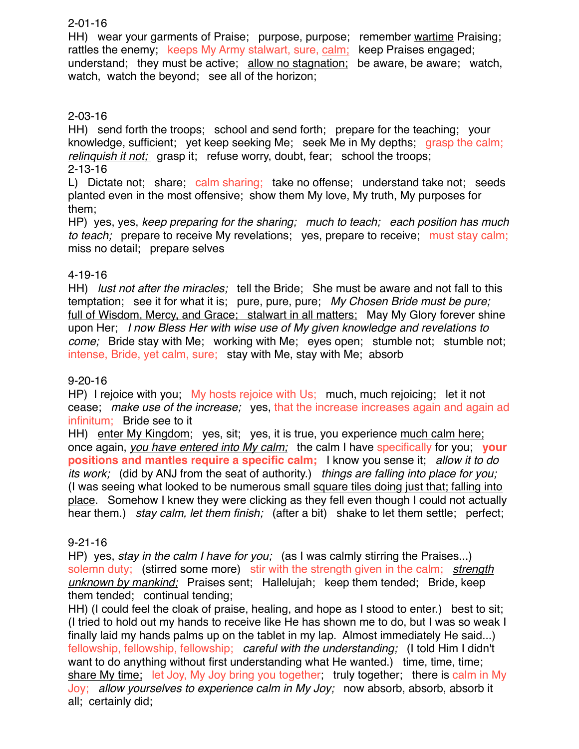## 2-01-16

HH) wear your garments of Praise; purpose, purpose; remember wartime Praising; rattles the enemy; keeps My Army stalwart, sure, calm; keep Praises engaged; understand; they must be active; allow no stagnation; be aware, be aware; watch, watch, watch the beyond; see all of the horizon;

# 2-03-16

HH) send forth the troops; school and send forth; prepare for the teaching; your knowledge, sufficient; yet keep seeking Me; seek Me in My depths; grasp the calm; *relinquish it not;* grasp it; refuse worry, doubt, fear; school the troops; 2-13-16

## L) Dictate not; share; calm sharing; take no offense; understand take not; seeds planted even in the most offensive; show them My love, My truth, My purposes for them;

HP) yes, yes, *keep preparing for the sharing; much to teach; each position has much to teach;* prepare to receive My revelations; yes, prepare to receive; must stay calm; miss no detail; prepare selves

# 4-19-16

HH) *lust not after the miracles;* tell the Bride; She must be aware and not fall to this temptation; see it for what it is; pure, pure, pure; *My Chosen Bride must be pure;*  full of Wisdom, Mercy, and Grace; stalwart in all matters; May My Glory forever shine upon Her; *I now Bless Her with wise use of My given knowledge and revelations to come;* Bride stay with Me; working with Me; eyes open; stumble not; stumble not; intense, Bride, yet calm, sure; stay with Me, stay with Me; absorb

# 9-20-16

HP) I rejoice with you; My hosts rejoice with Us; much, much rejoicing; let it not cease; *make use of the increase;* yes, that the increase increases again and again ad infinitum; Bride see to it

HH) enter My Kingdom; yes, sit; yes, it is true, you experience much calm here; once again, *you have entered into My calm;* the calm I have specifically for you; **your positions and mantles require a specific calm;** I know you sense it; *allow it to do its work;* (did by ANJ from the seat of authority.) *things are falling into place for you;* (I was seeing what looked to be numerous small square tiles doing just that; falling into place. Somehow I knew they were clicking as they fell even though I could not actually hear them.) *stay calm, let them finish;* (after a bit) shake to let them settle; perfect;

# 9-21-16

HP) yes, *stay in the calm I have for you;* (as I was calmly stirring the Praises...) solemn duty; (stirred some more) stir with the strength given in the calm; *strength unknown by mankind;* Praises sent; Hallelujah; keep them tended; Bride, keep them tended; continual tending;

HH) (I could feel the cloak of praise, healing, and hope as I stood to enter.) best to sit; (I tried to hold out my hands to receive like He has shown me to do, but I was so weak I finally laid my hands palms up on the tablet in my lap. Almost immediately He said...) fellowship, fellowship, fellowship; *careful with the understanding;* (I told Him I didn't want to do anything without first understanding what He wanted.) time, time, time; share My time; let Joy, My Joy bring you together; truly together; there is calm in My Joy; *allow yourselves to experience calm in My Joy;* now absorb, absorb, absorb it all; certainly did;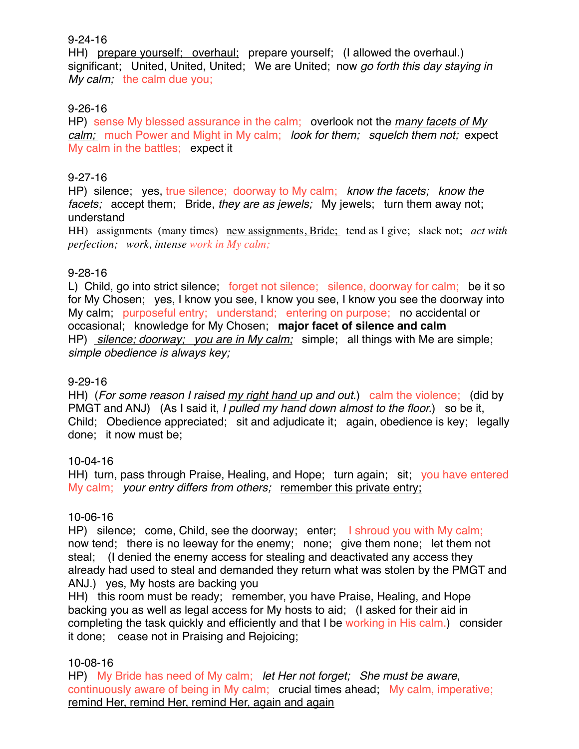### 9-24-16

HH) prepare yourself; overhaul; prepare yourself; (I allowed the overhaul.) significant; United, United, United; We are United; now *go forth this day staying in My calm;* the calm due you;

## 9-26-16

HP) sense My blessed assurance in the calm; overlook not the *many facets of My calm;* much Power and Might in My calm; *look for them; squelch them not;* expect My calm in the battles; expect it

## 9-27-16

HP) silence; yes, true silence; doorway to My calm; *know the facets; know the facets;* accept them; Bride, *they are as jewels;* My jewels; turn them away not; understand

HH) assignments (many times) new assignments, Bride; tend as I give; slack not; *act with perfection; work, intense work in My calm;*

## 9-28-16

L) Child, go into strict silence; forget not silence; silence, doorway for calm; be it so for My Chosen; yes, I know you see, I know you see, I know you see the doorway into My calm; purposeful entry; understand; entering on purpose; no accidental or occasional; knowledge for My Chosen; **major facet of silence and calm** HP) *silence; doorway; you are in My calm;* simple; all things with Me are simple; *simple obedience is always key;*

## 9-29-16

HH) (*For some reason I raised my right hand up and out*.) calm the violence; (did by PMGT and ANJ) (As I said it, *I pulled my hand down almost to the floor.*) so be it, Child; Obedience appreciated; sit and adjudicate it; again, obedience is key; legally done; it now must be;

## 10-04-16

HH) turn, pass through Praise, Healing, and Hope; turn again; sit; you have entered My calm; *your entry differs from others;* remember this private entry;

## 10-06-16

HP) silence; come, Child, see the doorway; enter; I shroud you with My calm; now tend; there is no leeway for the enemy; none; give them none; let them not steal; (I denied the enemy access for stealing and deactivated any access they already had used to steal and demanded they return what was stolen by the PMGT and ANJ.) yes, My hosts are backing you

HH) this room must be ready; remember, you have Praise, Healing, and Hope backing you as well as legal access for My hosts to aid; (I asked for their aid in completing the task quickly and efficiently and that I be working in His calm.) consider it done; cease not in Praising and Rejoicing;

# 10-08-16

HP) My Bride has need of My calm; *let Her not forget; She must be aware*, continuously aware of being in My calm; crucial times ahead; My calm, imperative; remind Her, remind Her, remind Her, again and again